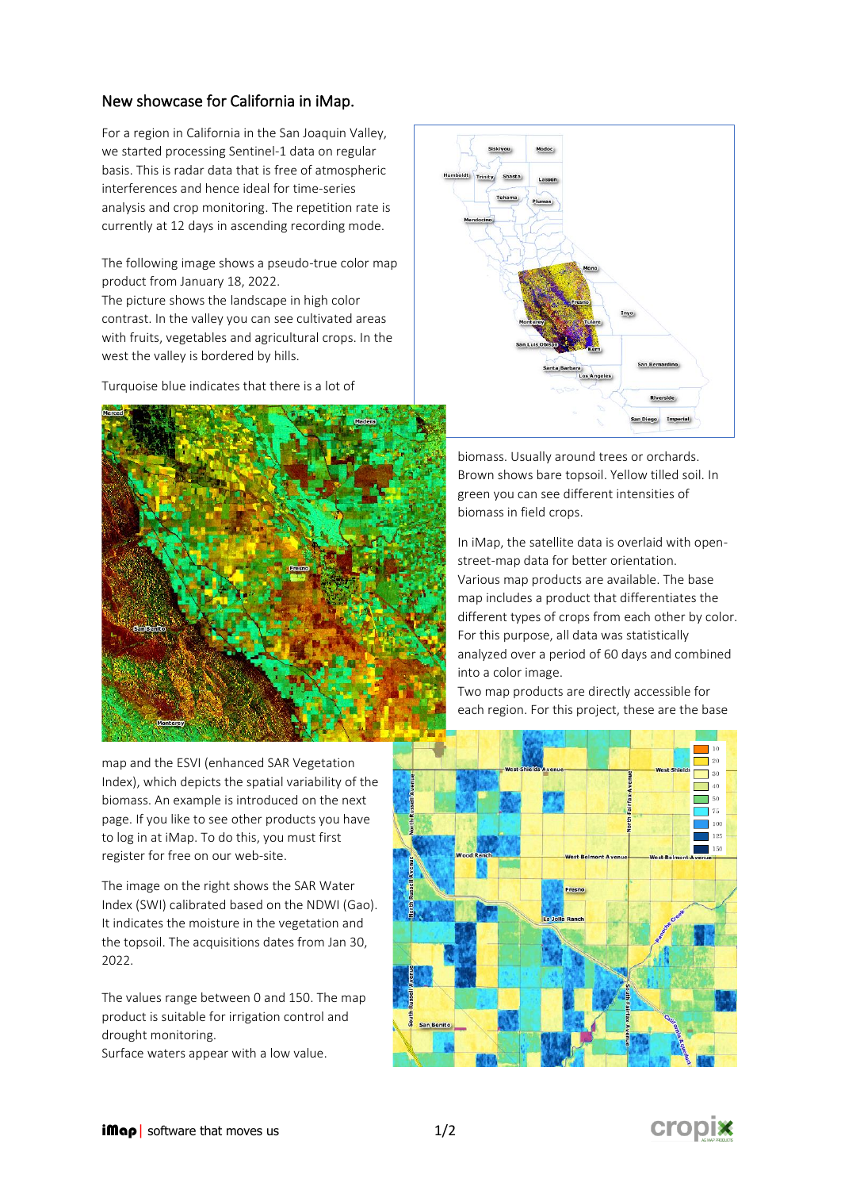## New showcase for California in iMap.

For a region in California in the San Joaquin Valley, we started processing Sentinel-1 data on regular basis. This is radar data that is free of atmospheric interferences and hence ideal for time-series analysis and crop monitoring. The repetition rate is currently at 12 days in ascending recording mode.

The following image shows a pseudo-true color map product from January 18, 2022.

The picture shows the landscape in high color contrast. In the valley you can see cultivated areas with fruits, vegetables and agricultural crops. In the west the valley is bordered by hills.

Turquoise blue indicates that there is a lot of



map and the ESVI (enhanced SAR Vegetation Index), which depicts the spatial variability of the biomass. An example is introduced on the next page. If you like to see other products you have to log in at iMap. To do this, you must first register for free on our [web-site.](https://cropix.ch/de/imap-de/)

The image on the right shows the SAR Water Index (SWI) calibrated based on the NDWI (Gao). It indicates the moisture in the vegetation and the topsoil. The acquisitions dates from Jan 30, 2022.

The values range between 0 and 150. The map product is suitable for irrigation control and drought monitoring.

Surface waters appear with a low value.



biomass. Usually around trees or orchards. Brown shows bare topsoil. Yellow tilled soil. In green you can see different intensities of biomass in field crops.

In iMap, the satellite data is overlaid with openstreet-map data for better orientation. Various map products are available. The base map includes a product that differentiates the different types of crops from each other by color. For this purpose, all data was statistically analyzed over a period of 60 days and combined into a color image.

Two map products are directly accessible for each region. For this project, these are the base